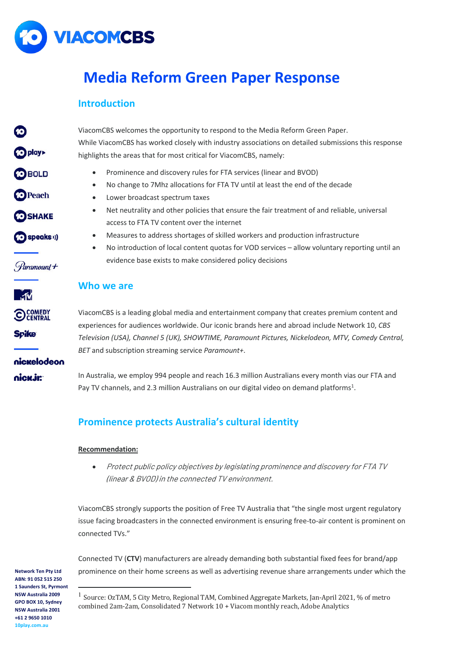

# **Media Reform Green Paper Response**

### **Introduction**

| <b>6</b>                                                                         | ViacomCBS welcomes the opportunity to respond to the Media Reform Green Paper.                                                                                                                                                                                                                                                                                                                                                                                                                                                                                                                                                                                 |  |  |  |  |
|----------------------------------------------------------------------------------|----------------------------------------------------------------------------------------------------------------------------------------------------------------------------------------------------------------------------------------------------------------------------------------------------------------------------------------------------------------------------------------------------------------------------------------------------------------------------------------------------------------------------------------------------------------------------------------------------------------------------------------------------------------|--|--|--|--|
| o play                                                                           | While ViacomCBS has worked closely with industry associations on detailed submissions this response<br>highlights the areas that for most critical for ViacomCBS, namely:                                                                                                                                                                                                                                                                                                                                                                                                                                                                                      |  |  |  |  |
| <b>OBOLD</b><br><b>O</b> Peach<br><b>SHAKE</b><br>(speaks)<br><i>Paramount</i> + | Prominence and discovery rules for FTA services (linear and BVOD)<br>$\bullet$<br>No change to 7Mhz allocations for FTA TV until at least the end of the decade<br>$\bullet$<br>Lower broadcast spectrum taxes<br>$\bullet$<br>Net neutrality and other policies that ensure the fair treatment of and reliable, universal<br>$\bullet$<br>access to FTA TV content over the internet<br>Measures to address shortages of skilled workers and production infrastructure<br>$\bullet$<br>No introduction of local content quotas for VOD services - allow voluntary reporting until an<br>$\bullet$<br>evidence base exists to make considered policy decisions |  |  |  |  |
| ี∝า์ที                                                                           | Who we are                                                                                                                                                                                                                                                                                                                                                                                                                                                                                                                                                                                                                                                     |  |  |  |  |
| <b>O COMEDY</b><br><b>Spike</b><br>nickelodeon                                   | ViacomCBS is a leading global media and entertainment company that creates premium content and<br>experiences for audiences worldwide. Our iconic brands here and abroad include Network 10, CBS<br>Television (USA), Channel 5 (UK), SHOWTIME, Paramount Pictures, Nickelodeon, MTV, Comedy Central,<br>BET and subscription streaming service Paramount+.                                                                                                                                                                                                                                                                                                    |  |  |  |  |
| nick.jr:                                                                         | In Australia, we employ 994 people and reach 16.3 million Australians every month vias our FTA and<br>Pay TV channels, and 2.3 million Australians on our digital video on demand platforms <sup>1</sup> .                                                                                                                                                                                                                                                                                                                                                                                                                                                     |  |  |  |  |

# **Prominence protects Australia's cultural identity**

### **Recommendation:**

• Protect public policy objectives by legislating prominence and discovery for FTA TV (linear & BVOD) in the connected TV environment.

ViacomCBS strongly supports the position of Free TV Australia that "the single most urgent regulatory issue facing broadcasters in the connected environment is ensuring free-to-air content is prominent on connected TVs."

Connected TV (**CTV**) manufacturers are already demanding both substantial fixed fees for brand/app prominence on their home screens as well as advertising revenue share arrangements under which the

<sup>&</sup>lt;sup>1</sup> Source: OzTAM, 5 City Metro, Regional TAM, Combined Aggregate Markets, Jan-April 2021, % of metro combined 2am-2am, Consolidated 7 Network 10 + Viacom monthly reach, Adobe Analytics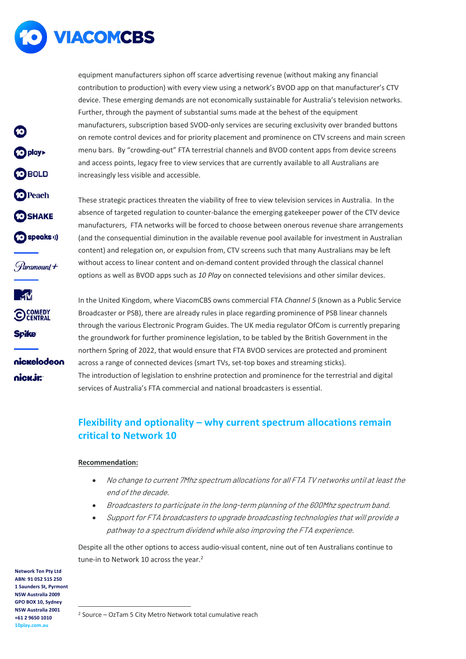

**O** play

**OBOLD** 

**O** Peach

**OSHAKE** 

(O speaks ))

Paramount+

**O COMEDY** 

nickelodeon

**Spike** 

nick.ir:

equipment manufacturers siphon off scarce advertising revenue (without making any financial contribution to production) with every view using a network's BVOD app on that manufacturer's CTV device. These emerging demands are not economically sustainable for Australia's television networks. Further, through the payment of substantial sums made at the behest of the equipment manufacturers, subscription based SVOD-only services are securing exclusivity over branded buttons on remote control devices and for priority placement and prominence on CTV screens and main screen menu bars. By "crowding-out" FTA terrestrial channels and BVOD content apps from device screens and access points, legacy free to view services that are currently available to all Australians are increasingly less visible and accessible.

These strategic practices threaten the viability of free to view television services in Australia. In the absence of targeted regulation to counter-balance the emerging gatekeeper power of the CTV device manufacturers, FTA networks will be forced to choose between onerous revenue share arrangements (and the consequential diminution in the available revenue pool available for investment in Australian content) and relegation on, or expulsion from, CTV screens such that many Australians may be left without access to linear content and on-demand content provided through the classical channel options as well as BVOD apps such as *10 Play* on connected televisions and other similar devices.

In the United Kingdom, where ViacomCBS owns commercial FTA *Channel 5* (known as a Public Service Broadcaster or PSB), there are already rules in place regarding prominence of PSB linear channels through the various Electronic Program Guides. The UK media regulator OfCom is currently preparing the groundwork for further prominence legislation, to be tabled by the British Government in the northern Spring of 2022, that would ensure that FTA BVOD services are protected and prominent across a range of connected devices (smart TVs, set-top boxes and streaming sticks). The introduction of legislation to enshrine protection and prominence for the terrestrial and digital services of Australia's FTA commercial and national broadcasters is essential.

# **Flexibility and optionality – why current spectrum allocations remain critical to Network 10**

### **Recommendation:**

- No change to current 7Mhz spectrum allocations for all FTA TV networks until at least the end of the decade.
- Broadcasters to participate in the long-term planning of the 600Mhz spectrum band.
- Support for FTA broadcasters to upgrade broadcasting technologies that will provide a pathway to a spectrum dividend while also improving the FTA experience.

Despite all the other options to access audio-visual content, nine out of ten Australians continue to tune-in to Network 10 across the year.<sup>2</sup>

**Network Ten Pty Ltd ABN: 91 052 515 250 1 Saunders St, Pyrmont NSW Australia 2009 GPO BOX 10, Sydney NSW Australia 2001 +61 2 9650 1010 10play.com.au**

<sup>2</sup> Source – OzTam 5 City Metro Network total cumulative reach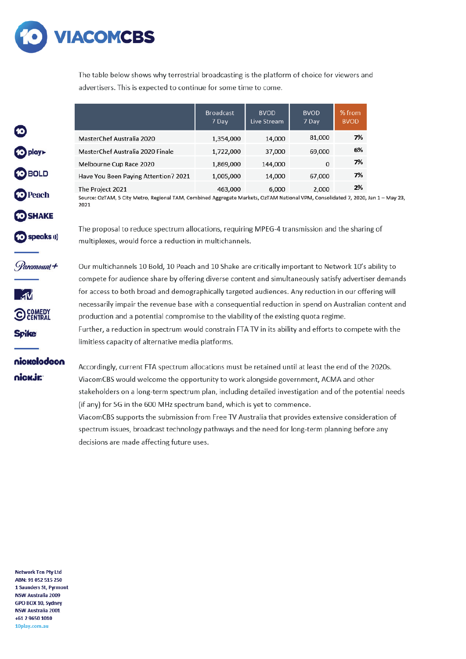

The table below shows why terrestrial broadcasting is the platform of choice for viewers and advertisers. This is expected to continue for some time to come.

|                                      | <b>Broadcast</b><br>7 Day | <b>BVOD</b><br>Live Stream | <b>BVOD</b><br>7 Day | % from<br><b>BVOD</b> |
|--------------------------------------|---------------------------|----------------------------|----------------------|-----------------------|
| <b>MasterChef Australia 2020</b>     | 1,354,000                 | 14,000                     | 81,000               | 7%                    |
| MasterChef Australia 2020 Finale     | 1,722,000                 | 37,000                     | 69,000               | 6%                    |
| Melbourne Cup Race 2020              | 1,869,000                 | 144,000                    | $\Omega$             | 7%                    |
| Have You Been Paying Attention? 2021 | 1,005,000                 | 14,000                     | 67,000               | 7%                    |
| The Project 2021                     | 463,000                   | 6,000                      | 2,000                | 2%                    |

Source: OzTAM, 5 City Metro, Regional TAM, Combined Aggregate Markets, OzTAM National VPM, Consolidated 7, 2020, Jan 1 - May 23, 2021

The proposal to reduce spectrum allocations, requiring MPEG-4 transmission and the sharing of multiplexes, would force a reduction in multichannels.

Paramount +

speaks ()

o play>

**OBOLD** 

**O** Peach

**O**SHAKE



nickelodeon

nick.jr:

Our multichannels 10 Bold, 10 Peach and 10 Shake are critically important to Network 10's ability to compete for audience share by offering diverse content and simultaneously satisfy advertiser demands for access to both broad and demographically targeted audiences. Any reduction in our offering will necessarily impair the revenue base with a consequential reduction in spend on Australian content and production and a potential compromise to the viability of the existing quota regime. Further, a reduction in spectrum would constrain FTA TV in its ability and efforts to compete with the limitless capacity of alternative media platforms.

Accordingly, current FTA spectrum allocations must be retained until at least the end of the 2020s. ViacomCBS would welcome the opportunity to work alongside government, ACMA and other stakeholders on a long-term spectrum plan, including detailed investigation and of the potential needs (if any) for 5G in the 600 MHz spectrum band, which is yet to commence.

ViacomCBS supports the submission from Free TV Australia that provides extensive consideration of spectrum issues, broadcast technology pathways and the need for long-term planning before any decisions are made affecting future uses.

**Network Ten Pty Ltd** ABN: 91 052 515 250 1 Saunders St, Pyrmont **NSW Australia 2009** GPO BOX 10. Svdney **NSW Australia 2001** +61 2 9650 1010 10play.com.au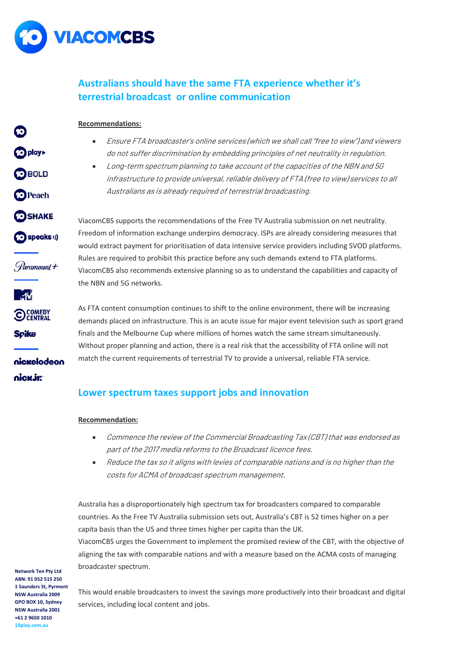

**D** play

**OBOLD** 

**O** Peach

**CO** SHAKE

(O speaks ))

Paramount+

**O COMEDY** 

nickelodeon

**Spike** 

nick.ir:

# **Australians should have the same FTA experience whether it's terrestrial broadcast or online communication**

### **Recommendations:**

- Ensure FTA broadcaster's online services (which we shall call "free to view") and viewers do not suffer discrimination by embedding principles of net neutrality in regulation.
- Long-term spectrum planning to take account of the capacities of the NBN and 5G infrastructure to provide universal, reliable delivery of FTA (free to view) services to all Australians as is already required of terrestrial broadcasting.

ViacomCBS supports the recommendations of the Free TV Australia submission on net neutrality. Freedom of information exchange underpins democracy. ISPs are already considering measures that would extract payment for prioritisation of data intensive service providers including SVOD platforms. Rules are required to prohibit this practice before any such demands extend to FTA platforms. ViacomCBS also recommends extensive planning so as to understand the capabilities and capacity of the NBN and 5G networks.

As FTA content consumption continues to shift to the online environment, there will be increasing demands placed on infrastructure. This is an acute issue for major event television such as sport grand finals and the Melbourne Cup where millions of homes watch the same stream simultaneously. Without proper planning and action, there is a real risk that the accessibility of FTA online will not match the current requirements of terrestrial TV to provide a universal, reliable FTA service.

### **Lower spectrum taxes support jobs and innovation**

### **Recommendation:**

- Commence the review of the Commercial Broadcasting Tax (CBT) that was endorsed as part of the 2017 media reforms to the Broadcast licence fees.
- Reduce the tax so it aligns with levies of comparable nations and is no higher than the costs for ACMA of broadcast spectrum management.

Australia has a disproportionately high spectrum tax for broadcasters compared to comparable countries. As the Free TV Australia submission sets out, Australia's CBT is 52 times higher on a per capita basis than the US and three times higher per capita than the UK.

ViacomCBS urges the Government to implement the promised review of the CBT, with the objective of aligning the tax with comparable nations and with a measure based on the ACMA costs of managing broadcaster spectrum.

**Network Ten Pty Ltd ABN: 91 052 515 250 1 Saunders St, Pyrmont NSW Australia 2009 GPO BOX 10, Sydney NSW Australia 2001 +61 2 9650 1010 10play.com.au**

This would enable broadcasters to invest the savings more productively into their broadcast and digital services, including local content and jobs.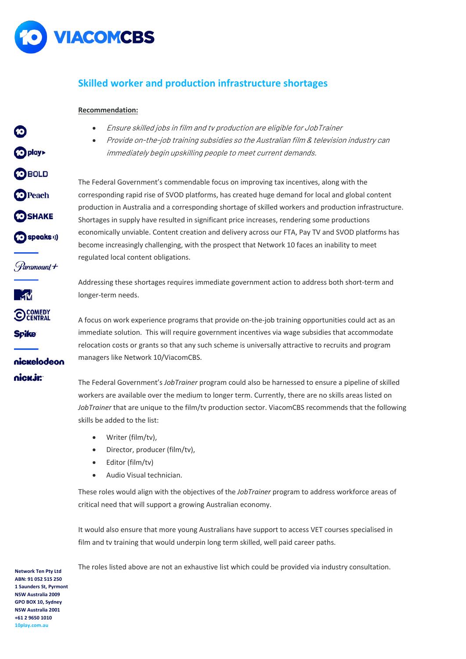

**O** play

**OBOLD** 

**O**Peach

**OSHAKE** 

(O speaks ))

Paramount+

**OCOMEDY** 

nickelodeon

**Spike** 

nick.ir:

### **Skilled worker and production infrastructure shortages**

### **Recommendation:**

- Ensure skilled jobs in film and tv production are eligible for JobTrainer
- Provide on-the-job training subsidies so the Australian film & television industry can immediately begin upskilling people to meet current demands.

The Federal Government's commendable focus on improving tax incentives, along with the corresponding rapid rise of SVOD platforms, has created huge demand for local and global content production in Australia and a corresponding shortage of skilled workers and production infrastructure. Shortages in supply have resulted in significant price increases, rendering some productions economically unviable. Content creation and delivery across our FTA, Pay TV and SVOD platforms has become increasingly challenging, with the prospect that Network 10 faces an inability to meet regulated local content obligations.

Addressing these shortages requires immediate government action to address both short-term and longer-term needs.

A focus on work experience programs that provide on-the-job training opportunities could act as an immediate solution. This will require government incentives via wage subsidies that accommodate relocation costs or grants so that any such scheme is universally attractive to recruits and program managers like Network 10/ViacomCBS.

The Federal Government's *JobTrainer* program could also be harnessed to ensure a pipeline of skilled workers are available over the medium to longer term. Currently, there are no skills areas listed on *JobTrainer* that are unique to the film/tv production sector. ViacomCBS recommends that the following skills be added to the list:

- Writer (film/tv),
- Director, producer (film/tv),
- Editor (film/tv)
- Audio Visual technician.

These roles would align with the objectives of the *JobTrainer* program to address workforce areas of critical need that will support a growing Australian economy.

It would also ensure that more young Australians have support to access VET courses specialised in film and tv training that would underpin long term skilled, well paid career paths.

The roles listed above are not an exhaustive list which could be provided via industry consultation.

**Network Ten Pty Ltd ABN: 91 052 515 250 1 Saunders St, Pyrmont NSW Australia 2009 GPO BOX 10, Sydney NSW Australia 2001 +61 2 9650 1010 10play.com.au**